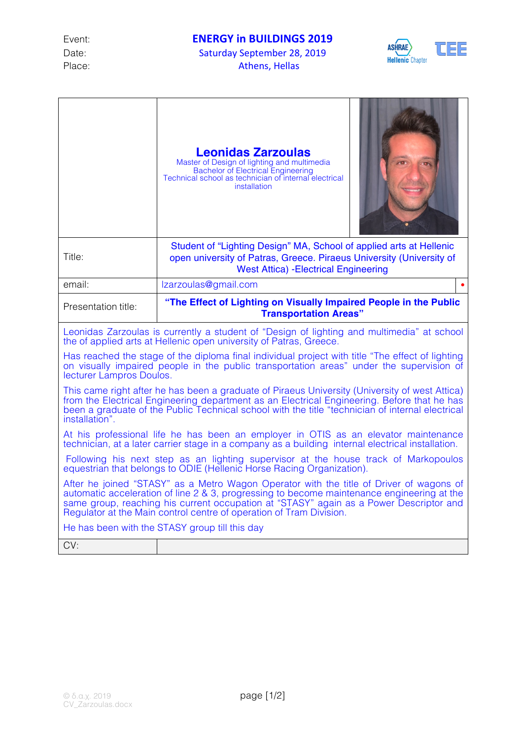Place: Athens, Hellas

ASHRAE TEE **Hellenic Chapter** 

|                                                                                                                                                                                                                                                                                                                                                        | <b>Leonidas Zarzoulas</b><br>Master of Design of lighting and multimedia<br><b>Bachelor of Electrical Engineering</b><br>Technical school as technician of internal electrical<br>installation |
|--------------------------------------------------------------------------------------------------------------------------------------------------------------------------------------------------------------------------------------------------------------------------------------------------------------------------------------------------------|------------------------------------------------------------------------------------------------------------------------------------------------------------------------------------------------|
| Title:                                                                                                                                                                                                                                                                                                                                                 | Student of "Lighting Design" MA, School of applied arts at Hellenic<br>open university of Patras, Greece. Piraeus University (University of<br><b>West Attica) - Electrical Engineering</b>    |
| email:                                                                                                                                                                                                                                                                                                                                                 | Izarzoulas@gmail.com                                                                                                                                                                           |
| Presentation title:                                                                                                                                                                                                                                                                                                                                    | "The Effect of Lighting on Visually Impaired People in the Public<br><b>Transportation Areas"</b>                                                                                              |
| Leonidas Zarzoulas is currently a student of "Design of lighting and multimedia" at school<br>the of applied arts at Hellenic open university of Patras, Greece.                                                                                                                                                                                       |                                                                                                                                                                                                |
| Has reached the stage of the diploma final individual project with title "The effect of lighting<br>on visually impaired people in the public transportation areas" under the supervision of<br>lecturer Lampros Doulos.                                                                                                                               |                                                                                                                                                                                                |
| This came right after he has been a graduate of Piraeus University (University of west Attica)<br>from the Electrical Engineering department as an Electrical Engineering. Before that he has<br>been a graduate of the Public Technical school with the title "technician of internal electrical<br>installation".                                    |                                                                                                                                                                                                |
| At his professional life he has been an employer in OTIS as an elevator maintenance<br>technician, at a later carrier stage in a company as a building internal electrical installation.                                                                                                                                                               |                                                                                                                                                                                                |
| Following his next step as an lighting supervisor at the house track of Markopoulos<br>equestrian that belongs to ODIE (Hellenic Horse Racing Organization).                                                                                                                                                                                           |                                                                                                                                                                                                |
| After he joined "STASY" as a Metro Wagon Operator with the title of Driver of wagons of<br>automatic acceleration of line 2 & 3, progressing to become maintenance engineering at the<br>same group, reaching his current occupation at "STASY" again as a Power Descriptor and<br>Regulator at the Main control centre of operation of Tram Division. |                                                                                                                                                                                                |
| He has been with the STASY group till this day                                                                                                                                                                                                                                                                                                         |                                                                                                                                                                                                |
| CV:                                                                                                                                                                                                                                                                                                                                                    |                                                                                                                                                                                                |